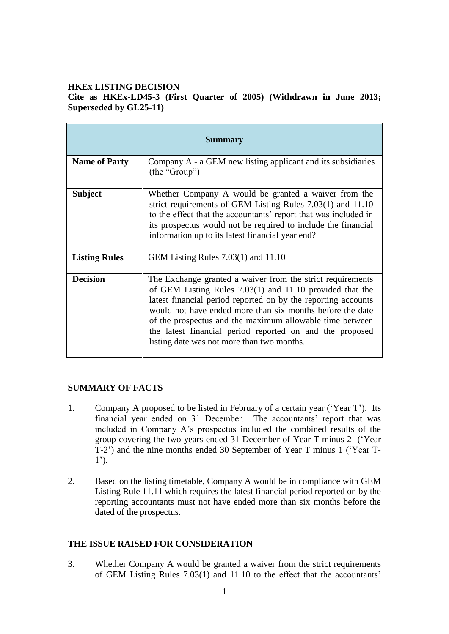## **HKEx LISTING DECISION**

**Cite as HKEx-LD45-3 (First Quarter of 2005) (Withdrawn in June 2013; Superseded by GL25-11)**

| <b>Summary</b>       |                                                                                                                                                                                                                                                                                                                                                                                                                                |
|----------------------|--------------------------------------------------------------------------------------------------------------------------------------------------------------------------------------------------------------------------------------------------------------------------------------------------------------------------------------------------------------------------------------------------------------------------------|
| <b>Name of Party</b> | Company A - a GEM new listing applicant and its subsidiaries<br>(the "Group")                                                                                                                                                                                                                                                                                                                                                  |
| <b>Subject</b>       | Whether Company A would be granted a waiver from the<br>strict requirements of GEM Listing Rules $7.03(1)$ and $11.10$<br>to the effect that the accountants' report that was included in<br>its prospectus would not be required to include the financial<br>information up to its latest financial year end?                                                                                                                 |
| <b>Listing Rules</b> | GEM Listing Rules $7.03(1)$ and $11.10$                                                                                                                                                                                                                                                                                                                                                                                        |
| <b>Decision</b>      | The Exchange granted a waiver from the strict requirements<br>of GEM Listing Rules $7.03(1)$ and $11.10$ provided that the<br>latest financial period reported on by the reporting accounts<br>would not have ended more than six months before the date<br>of the prospectus and the maximum allowable time between<br>the latest financial period reported on and the proposed<br>listing date was not more than two months. |

### **SUMMARY OF FACTS**

- 1. Company A proposed to be listed in February of a certain year ('Year T'). Its financial year ended on 31 December. The accountants' report that was included in Company A's prospectus included the combined results of the group covering the two years ended 31 December of Year T minus 2 ('Year T-2') and the nine months ended 30 September of Year T minus 1 ('Year T- $1'$ ).
- 2. Based on the listing timetable, Company A would be in compliance with GEM Listing Rule 11.11 which requires the latest financial period reported on by the reporting accountants must not have ended more than six months before the dated of the prospectus.

# **THE ISSUE RAISED FOR CONSIDERATION**

3. Whether Company A would be granted a waiver from the strict requirements of GEM Listing Rules 7.03(1) and 11.10 to the effect that the accountants'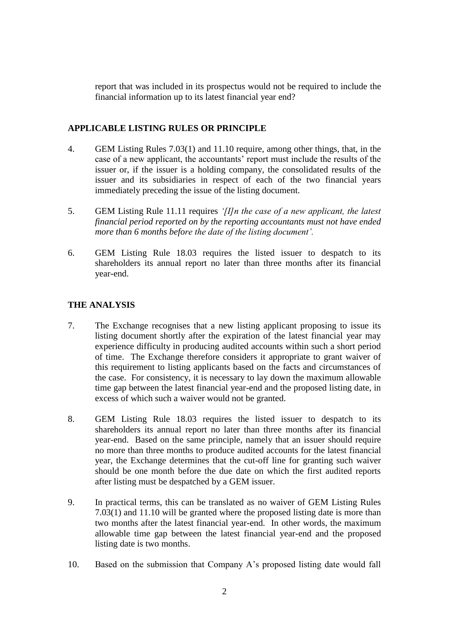report that was included in its prospectus would not be required to include the financial information up to its latest financial year end?

### **APPLICABLE LISTING RULES OR PRINCIPLE**

- 4. GEM Listing Rules 7.03(1) and 11.10 require, among other things, that, in the case of a new applicant, the accountants' report must include the results of the issuer or, if the issuer is a holding company, the consolidated results of the issuer and its subsidiaries in respect of each of the two financial years immediately preceding the issue of the listing document.
- 5. GEM Listing Rule 11.11 requires *'[I]n the case of a new applicant, the latest financial period reported on by the reporting accountants must not have ended more than 6 months before the date of the listing document'.*
- 6. GEM Listing Rule 18.03 requires the listed issuer to despatch to its shareholders its annual report no later than three months after its financial year-end.

# **THE ANALYSIS**

- 7. The Exchange recognises that a new listing applicant proposing to issue its listing document shortly after the expiration of the latest financial year may experience difficulty in producing audited accounts within such a short period of time. The Exchange therefore considers it appropriate to grant waiver of this requirement to listing applicants based on the facts and circumstances of the case. For consistency, it is necessary to lay down the maximum allowable time gap between the latest financial year-end and the proposed listing date, in excess of which such a waiver would not be granted.
- 8. GEM Listing Rule 18.03 requires the listed issuer to despatch to its shareholders its annual report no later than three months after its financial year-end. Based on the same principle, namely that an issuer should require no more than three months to produce audited accounts for the latest financial year, the Exchange determines that the cut-off line for granting such waiver should be one month before the due date on which the first audited reports after listing must be despatched by a GEM issuer.
- 9. In practical terms, this can be translated as no waiver of GEM Listing Rules 7.03(1) and 11.10 will be granted where the proposed listing date is more than two months after the latest financial year-end. In other words, the maximum allowable time gap between the latest financial year-end and the proposed listing date is two months.
- 10. Based on the submission that Company A's proposed listing date would fall